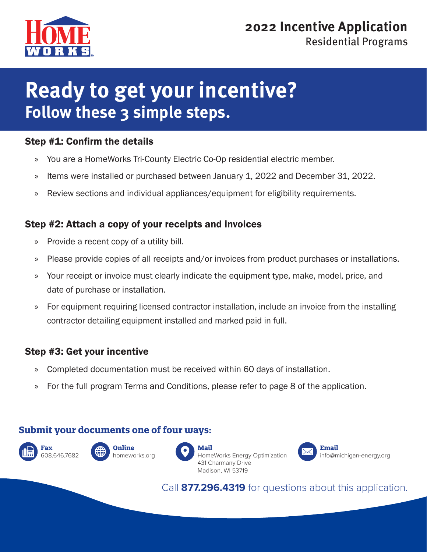

# **Ready to get your incentive? Follow these 3 simple steps.**

## Step #1: Confirm the details

- » You are a HomeWorks Tri-County Electric Co-Op residential electric member.
- » Items were installed or purchased between January 1, 2022 and December 31, 2022.
- » Review sections and individual appliances/equipment for eligibility requirements.

## Step #2: Attach a copy of your receipts and invoices

- » Provide a recent copy of a utility bill.
- » Please provide copies of all receipts and/or invoices from product purchases or installations.
- » Your receipt or invoice must clearly indicate the equipment type, make, model, price, and date of purchase or installation.
- » For equipment requiring licensed contractor installation, include an invoice from the installing contractor detailing equipment installed and marked paid in full.

# Step #3: Get your incentive

- » Completed documentation must be received within 60 days of installation.
- » For the full program Terms and Conditions, please refer to page 8 of the application.

## **Submit your documents one of four ways:**







HomeWorks Energy Optimization 431 Charmany Drive Madison, WI 53719



Call **877.296.4319** for questions about this application.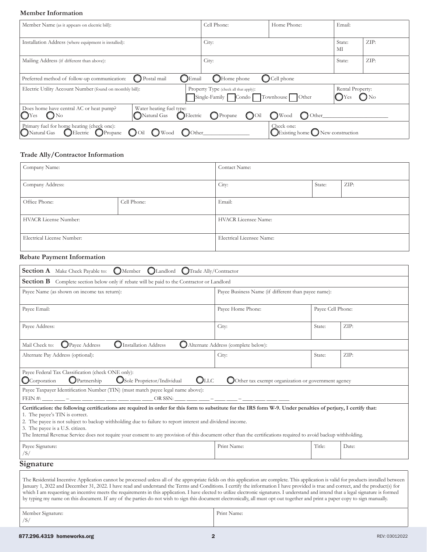### **Member Information**

| Member Name (as it appears on electric bill):                                                                                                                                         |                                                     | Cell Phone:           |               | Home Phone:                                                   | Email:       |      |
|---------------------------------------------------------------------------------------------------------------------------------------------------------------------------------------|-----------------------------------------------------|-----------------------|---------------|---------------------------------------------------------------|--------------|------|
| Installation Address (where equipment is installed):                                                                                                                                  |                                                     | City:                 |               |                                                               | State:<br>МІ | ZIP: |
| Mailing Address (if different than above):                                                                                                                                            |                                                     | City:                 |               |                                                               | State:       | ZIP: |
| Preferred method of follow-up communication:                                                                                                                                          | (Depostal mail<br>(JEmail                           | $\bigcirc$ Home phone |               | $\bigcirc$ Cell phone                                         |              |      |
| Rental Property:<br>Electric Utility Account Number (found on monthly bill):<br>Property Type (check all that apply):<br>Single-Family Condo Townhouse Other<br>$\bigcup$ No<br>(JYes |                                                     |                       |               |                                                               |              |      |
| Does home have central AC or heat pump?<br>$\bigcup$ No<br>$\bigcup$ Yes                                                                                                              | Water heating fuel type:<br>Natural Gas<br>Electric | $\bigcap$ Propane     | $\bigcup$ Oil | $\bigcirc$ Wood<br>Other                                      |              |      |
| Primary fuel for home heating (check one):<br><b>OElectric OPropane</b><br>Natural Gas                                                                                                | Dother<br>Wood                                      |                       |               | Check one:<br>$\Box$ Existing home $\bigcup$ New construction |              |      |

## **Trade Ally/Contractor Information**

| Company Name:                     |             | Contact Name:               |        |      |  |
|-----------------------------------|-------------|-----------------------------|--------|------|--|
| Company Address:                  |             | City:                       | State: | ZIP: |  |
| Office Phone:                     | Cell Phone: | Email:                      |        |      |  |
| <b>HVACR License Number:</b>      |             | <b>HVACR Licensee Name:</b> |        |      |  |
| <b>Electrical License Number:</b> |             | Electrical Licensee Name:   |        |      |  |

## **Rebate Payment Information**

| $\bigcirc$ Member<br><b>Q</b> Landlord<br><b>Section A</b> Make Check Payable to:<br><b>OTrade Ally/Contractor</b>                                                                                                                                                                                                                                                                                                                                                                                                                                                                                                                                                                                                                                           |                                                      |                   |       |  |  |
|--------------------------------------------------------------------------------------------------------------------------------------------------------------------------------------------------------------------------------------------------------------------------------------------------------------------------------------------------------------------------------------------------------------------------------------------------------------------------------------------------------------------------------------------------------------------------------------------------------------------------------------------------------------------------------------------------------------------------------------------------------------|------------------------------------------------------|-------------------|-------|--|--|
| <b>Section B</b> Complete section below only if rebate will be paid to the Contractor or Landlord                                                                                                                                                                                                                                                                                                                                                                                                                                                                                                                                                                                                                                                            |                                                      |                   |       |  |  |
| Payee Name (as shown on income tax return):                                                                                                                                                                                                                                                                                                                                                                                                                                                                                                                                                                                                                                                                                                                  | Payee Business Name (if different than payee name):  |                   |       |  |  |
| Payee Email:                                                                                                                                                                                                                                                                                                                                                                                                                                                                                                                                                                                                                                                                                                                                                 | Payee Home Phone:                                    | Payee Cell Phone: |       |  |  |
| Payee Address:                                                                                                                                                                                                                                                                                                                                                                                                                                                                                                                                                                                                                                                                                                                                               | City:                                                | State:            | ZIP:  |  |  |
| Payee Address<br><b>O</b> Installation Address<br>Mail Check to:<br>O                                                                                                                                                                                                                                                                                                                                                                                                                                                                                                                                                                                                                                                                                        | Alternate Address (complete below):                  |                   |       |  |  |
| Alternate Pay Address (optional):                                                                                                                                                                                                                                                                                                                                                                                                                                                                                                                                                                                                                                                                                                                            | City:                                                | State:            | ZIP:  |  |  |
| Payee Federal Tax Classification (check ONE only):<br>Partnership<br>$_{\rm QLLC}$<br>$\mathbb{O}$ Corporation<br>Sole Proprietor/Individual                                                                                                                                                                                                                                                                                                                                                                                                                                                                                                                                                                                                                 | O Other tax exempt organization or government agency |                   |       |  |  |
| Payee Taxpayer Identification Number (TIN) (must match payee legal name above):                                                                                                                                                                                                                                                                                                                                                                                                                                                                                                                                                                                                                                                                              |                                                      |                   |       |  |  |
| FEIN #: ___ ___ - ___ ___ ___ ___ ___ ___ OR SSN: ___ ___ __ -__ -__ -__ -___ -___ ___                                                                                                                                                                                                                                                                                                                                                                                                                                                                                                                                                                                                                                                                       |                                                      |                   |       |  |  |
| Certification: the following certifications are required in order for this form to substitute for the IRS form W-9. Under penalties of perjury, I certify that:<br>1. The payee's TIN is correct.<br>2. The payee is not subject to backup withholding due to failure to report interest and dividend income.<br>3. The payee is a U.S. citizen.<br>The Internal Revenue Service does not require your consent to any provision of this document other than the certifications required to avoid backup withholding.                                                                                                                                                                                                                                         |                                                      |                   |       |  |  |
| Payee Signature:<br>/S/                                                                                                                                                                                                                                                                                                                                                                                                                                                                                                                                                                                                                                                                                                                                      | Print Name:                                          | Title:            | Date: |  |  |
| Signature                                                                                                                                                                                                                                                                                                                                                                                                                                                                                                                                                                                                                                                                                                                                                    |                                                      |                   |       |  |  |
| The Residential Incentive Application cannot be processed unless all of the appropriate fields on this application are complete. This application is valid for products installed between<br>January 1, 2022 and December 31, 2022. I have read and understand the Terms and Conditions. I certify the information I have provided is true and correct, and the product(s) for<br>which I am requesting an incentive meets the requirements in this application. I have elected to utilize electronic signatures. I understand and intend that a legal signature is formed<br>by typing my name on this document. If any of the parties do not wish to sign this document electronically, all must opt out together and print a paper copy to sign manually. |                                                      |                   |       |  |  |
| Member Signature:                                                                                                                                                                                                                                                                                                                                                                                                                                                                                                                                                                                                                                                                                                                                            | Print Name:                                          |                   |       |  |  |

| 877.296.4319 homeworks.org |  | REV: 03012022 |
|----------------------------|--|---------------|
|----------------------------|--|---------------|

/S/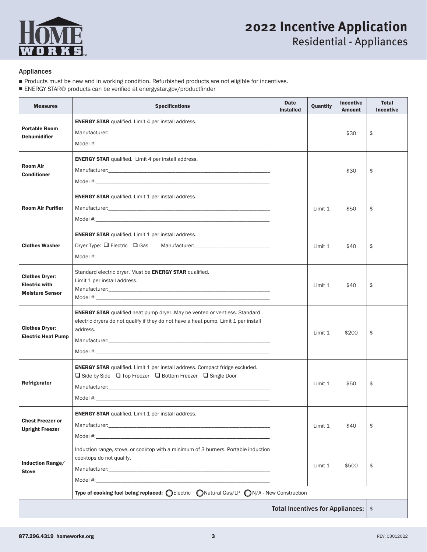

### Appliances

- Products must be new and in working condition. Refurbished products are not eligible for incentives.
- ENERGY STAR® products can be verified at energystar.gov/productfinder

| <b>Measures</b>                                                                        | <b>Specifications</b>                                                                                                                                                                                                                                                                                                                                                                                                                                                                                                                                                                                                                                                                                                                                                                                                 | <b>Date</b><br><b>Installed</b> | Quantity | <b>Incentive</b><br><b>Amount</b> | <b>Total</b><br><b>Incentive</b> |
|----------------------------------------------------------------------------------------|-----------------------------------------------------------------------------------------------------------------------------------------------------------------------------------------------------------------------------------------------------------------------------------------------------------------------------------------------------------------------------------------------------------------------------------------------------------------------------------------------------------------------------------------------------------------------------------------------------------------------------------------------------------------------------------------------------------------------------------------------------------------------------------------------------------------------|---------------------------------|----------|-----------------------------------|----------------------------------|
| <b>Portable Room</b><br><b>Dehumidifier</b>                                            | <b>ENERGY STAR</b> qualified. Limit 4 per install address.<br>Model $\#$ : $\qquad \qquad$                                                                                                                                                                                                                                                                                                                                                                                                                                                                                                                                                                                                                                                                                                                            |                                 |          | \$30                              | \$                               |
| <b>Room Air</b><br><b>Conditioner</b>                                                  | <b>ENERGY STAR</b> qualified. Limit 4 per install address.<br>Model $\#$ : $\qquad \qquad$                                                                                                                                                                                                                                                                                                                                                                                                                                                                                                                                                                                                                                                                                                                            |                                 |          | \$30                              | \$                               |
| <b>Room Air Purifier</b>                                                               | <b>ENERGY STAR</b> qualified. Limit 1 per install address.<br>Model $\#$ : $\qquad \qquad$                                                                                                                                                                                                                                                                                                                                                                                                                                                                                                                                                                                                                                                                                                                            |                                 | Limit 1  | \$50                              | \$                               |
| <b>Clothes Washer</b>                                                                  | <b>ENERGY STAR</b> qualified. Limit 1 per install address.<br>Dryer Type: $\Box$ Electric $\Box$ Gas<br>Manufacturer: The contract of the contract of the contract of the contract of the contract of the contract of the contract of the contract of the contract of the contract of the contract of the contract of the contract of<br>Model #:                                                                                                                                                                                                                                                                                                                                                                                                                                                                     |                                 | Limit 1  | \$40                              | \$                               |
| <b>Clothes Dryer:</b><br><b>Electric with</b><br><b>Moisture Sensor</b>                | Standard electric dryer. Must be ENERGY STAR qualified.<br>Limit 1 per install address.                                                                                                                                                                                                                                                                                                                                                                                                                                                                                                                                                                                                                                                                                                                               |                                 | Limit 1  | \$40                              | \$                               |
| <b>Clothes Dryer:</b><br><b>Electric Heat Pump</b>                                     | <b>ENERGY STAR</b> qualified heat pump dryer. May be vented or ventless. Standard<br>electric dryers do not qualify if they do not have a heat pump. Limit 1 per install<br>address.                                                                                                                                                                                                                                                                                                                                                                                                                                                                                                                                                                                                                                  |                                 | Limit 1  | \$200                             | \$                               |
| Refrigerator                                                                           | <b>ENERGY STAR</b> qualified. Limit 1 per install address. Compact fridge excluded.<br>$\Box$ Side by Side $\Box$ Top Freezer $\Box$ Bottom Freezer $\Box$ Single Door<br>$\textbf{Model} \#:\textcolor{blue}{\blacksquare} \textcolor{blue}{\blacksquare} \textcolor{blue}{\blacksquare} \textcolor{blue}{\blacksquare} \textcolor{blue}{\blacksquare} \textcolor{blue}{\blacksquare} \textcolor{blue}{\blacksquare} \textcolor{blue}{\blacksquare} \textcolor{blue}{\blacksquare} \textcolor{blue}{\blacksquare} \textcolor{blue}{\blacksquare} \textcolor{blue}{\blacksquare} \textcolor{blue}{\blacksquare} \textcolor{blue}{\blacksquare} \textcolor{blue}{\blacksquare} \textcolor{blue}{\blacksquare} \textcolor{blue}{\blacksquare} \textcolor{blue}{\blacksquare} \textcolor{blue}{\blacksquare} \textcolor$ |                                 | Limit 1  | \$50                              | \$                               |
| <b>Chest Freezer or</b><br><b>Upright Freezer</b>                                      | <b>ENERGY STAR</b> qualified. Limit 1 per install address.                                                                                                                                                                                                                                                                                                                                                                                                                                                                                                                                                                                                                                                                                                                                                            |                                 | Limit 1  | \$40                              | \$                               |
| Induction Range/<br>Stove                                                              | Induction range, stove, or cooktop with a minimum of 3 burners. Portable induction<br>cooktops do not qualify.<br>Model $\#$ : $\qquad \qquad$                                                                                                                                                                                                                                                                                                                                                                                                                                                                                                                                                                                                                                                                        |                                 | Limit 1  | \$500                             | \$                               |
| Type of cooking fuel being replaced: OElectric ONatural Gas/LP ON/A - New Construction |                                                                                                                                                                                                                                                                                                                                                                                                                                                                                                                                                                                                                                                                                                                                                                                                                       |                                 |          |                                   |                                  |
| Total Incentives for Appliances:   \$                                                  |                                                                                                                                                                                                                                                                                                                                                                                                                                                                                                                                                                                                                                                                                                                                                                                                                       |                                 |          |                                   |                                  |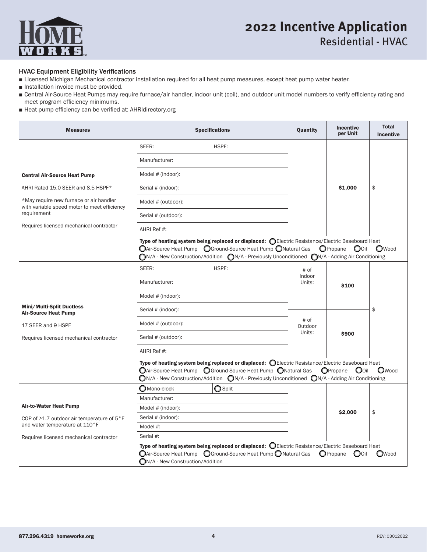

### HVAC Equipment Eligibility Verifications

- Licensed Michigan Mechanical contractor installation required for all heat pump measures, except heat pump water heater.
- Installation invoice must be provided.
- Central Air-Source Heat Pumps may require furnace/air handler, indoor unit (coil), and outdoor unit model numbers to verify efficiency rating and meet program efficiency minimums.
- Heat pump efficiency can be verified at: AHRIdirectory.org

| <b>Measures</b>                                                                         |                                  | <b>Specifications</b>                                                                                                                                                                                                                                                                                | Quantity          | <b>Incentive</b><br>per Unit | <b>Total</b><br><b>Incentive</b> |
|-----------------------------------------------------------------------------------------|----------------------------------|------------------------------------------------------------------------------------------------------------------------------------------------------------------------------------------------------------------------------------------------------------------------------------------------------|-------------------|------------------------------|----------------------------------|
|                                                                                         | SEER:                            | HSPF:                                                                                                                                                                                                                                                                                                |                   |                              |                                  |
|                                                                                         | Manufacturer:                    |                                                                                                                                                                                                                                                                                                      |                   |                              |                                  |
| <b>Central Air-Source Heat Pump</b>                                                     | Model # (indoor):                |                                                                                                                                                                                                                                                                                                      |                   |                              |                                  |
| AHRI Rated 15.0 SEER and 8.5 HSPF*                                                      | Serial # (indoor):               |                                                                                                                                                                                                                                                                                                      |                   | \$1,000                      | \$                               |
| *May require new furnace or air handler<br>with variable speed motor to meet efficiency | Model # (outdoor):               |                                                                                                                                                                                                                                                                                                      |                   |                              |                                  |
| requirement                                                                             | Serial # (outdoor):              |                                                                                                                                                                                                                                                                                                      |                   |                              |                                  |
| Requires licensed mechanical contractor                                                 | AHRI Ref #:                      |                                                                                                                                                                                                                                                                                                      |                   |                              |                                  |
|                                                                                         |                                  | Type of heating system being replaced or displaced: O Electric Resistance/Electric Baseboard Heat<br>○ Air-Source Heat Pump ○ Ground-Source Heat Pump ● Natural Gas<br>$\bigcirc$ N/A - New Construction/Addition $\bigcirc$ N/A - Previously Unconditioned $\bigcirc$ N/A - Adding Air Conditioning |                   | OPropane<br>$O$ Oil          | OWood                            |
|                                                                                         | SEER:                            | HSPF:                                                                                                                                                                                                                                                                                                | $#$ of            |                              |                                  |
|                                                                                         | Manufacturer:                    |                                                                                                                                                                                                                                                                                                      | Indoor<br>Units:  | \$100                        | \$                               |
|                                                                                         | Model # (indoor):                |                                                                                                                                                                                                                                                                                                      |                   |                              |                                  |
| Mini/Multi-Split Ductless<br><b>Air-Source Heat Pump</b>                                | Serial # (indoor):               |                                                                                                                                                                                                                                                                                                      |                   |                              |                                  |
| 17 SEER and 9 HSPF                                                                      | Model # (outdoor):               |                                                                                                                                                                                                                                                                                                      | $#$ of<br>Outdoor |                              |                                  |
| Requires licensed mechanical contractor                                                 | Serial # (outdoor):              |                                                                                                                                                                                                                                                                                                      | Units:            | \$900                        |                                  |
|                                                                                         | AHRI Ref #:                      |                                                                                                                                                                                                                                                                                                      |                   |                              |                                  |
|                                                                                         |                                  | Type of heating system being replaced or displaced: OEIectric Resistance/Electric Baseboard Heat<br>○ Air-Source Heat Pump ○ Ground-Source Heat Pump ○ Natural Gas<br>$\bigcirc$ N/A - New Construction/Addition $\bigcirc$ N/A - Previously Unconditioned $\bigcirc$ N/A - Adding Air Conditioning  |                   | OPropane<br><b>O</b> Oil     | OWood                            |
|                                                                                         | Mono-block                       | $\bigcirc$ Split                                                                                                                                                                                                                                                                                     |                   |                              |                                  |
|                                                                                         | Manufacturer:                    |                                                                                                                                                                                                                                                                                                      |                   |                              |                                  |
| Air-to-Water Heat Pump                                                                  | Model # (indoor):                |                                                                                                                                                                                                                                                                                                      | \$2,000           |                              | \$                               |
| COP of $\geq$ 1.7 outdoor air temperature of $5^{\circ}$ F                              | Serial # (indoor):<br>Model #:   |                                                                                                                                                                                                                                                                                                      |                   |                              |                                  |
| and water temperature at 110°F                                                          |                                  |                                                                                                                                                                                                                                                                                                      |                   |                              |                                  |
| Requires licensed mechanical contractor                                                 | Serial #:                        |                                                                                                                                                                                                                                                                                                      |                   |                              |                                  |
|                                                                                         | ON/A - New Construction/Addition | Type of heating system being replaced or displaced: O Electric Resistance/Electric Baseboard Heat<br>○ Air-Source Heat Pump ○ Ground-Source Heat Pump ● Natural Gas                                                                                                                                  |                   | OPropane<br>$\bigcirc$ oil   | OWood                            |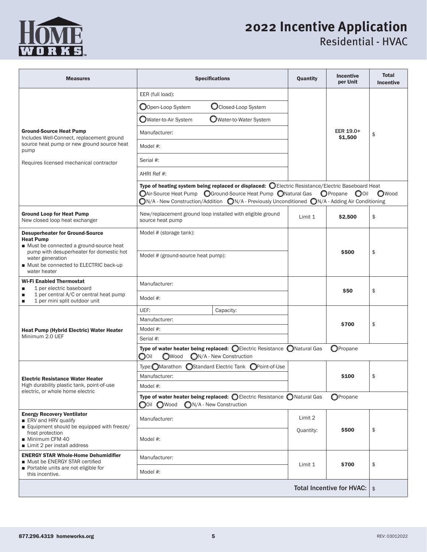

# **2022 Incentive Application**

Residential - HVAC

| <b>Measures</b>                                                                                                                   | <b>Specifications</b>                                                                                                                                                                                                                                                                                | Quantity         | <b>Incentive</b><br>per Unit     | <b>Total</b><br><b>Incentive</b> |
|-----------------------------------------------------------------------------------------------------------------------------------|------------------------------------------------------------------------------------------------------------------------------------------------------------------------------------------------------------------------------------------------------------------------------------------------------|------------------|----------------------------------|----------------------------------|
|                                                                                                                                   | EER (full load):                                                                                                                                                                                                                                                                                     |                  |                                  |                                  |
|                                                                                                                                   | O Closed-Loop System<br>Oopen-Loop System                                                                                                                                                                                                                                                            |                  |                                  |                                  |
| <b>Ground-Source Heat Pump</b><br>Includes Well-Connect, replacement ground<br>source heat pump or new ground source heat<br>pump | O Water-to-Water System<br>Water-to-Air System                                                                                                                                                                                                                                                       |                  |                                  |                                  |
|                                                                                                                                   | Manufacturer:                                                                                                                                                                                                                                                                                        |                  | EER 19.0+<br>\$1,500             | \$                               |
|                                                                                                                                   | Model #:                                                                                                                                                                                                                                                                                             |                  |                                  |                                  |
| Requires licensed mechanical contractor                                                                                           | Serial #:                                                                                                                                                                                                                                                                                            |                  |                                  |                                  |
|                                                                                                                                   | AHRI Ref #:                                                                                                                                                                                                                                                                                          |                  |                                  |                                  |
|                                                                                                                                   | Type of heating system being replaced or displaced: O Electric Resistance/Electric Baseboard Heat<br>○ Air-Source Heat Pump ○ Ground-Source Heat Pump ○ Natural Gas<br>$\bigcirc$ N/A - New Construction/Addition $\bigcirc$ N/A - Previously Unconditioned $\bigcirc$ N/A - Adding Air Conditioning |                  | OPropane OOil                    | OWood                            |
| <b>Ground Loop for Heat Pump</b><br>New closed loop heat exchanger                                                                | New/replacement ground loop installed with eligible ground<br>source heat pump                                                                                                                                                                                                                       | Limit 1          | \$2,500                          | \$                               |
| Model # (storage tank):<br><b>Desuperheater for Ground-Source</b><br><b>Heat Pump</b><br>■ Must be connected a ground-source heat |                                                                                                                                                                                                                                                                                                      |                  |                                  |                                  |
| pump with desuperheater for domestic hot<br>water generation<br>■ Must be connected to ELECTRIC back-up<br>water heater           | Model # (ground-source heat pump):                                                                                                                                                                                                                                                                   | <b>\$500</b>     |                                  | \$                               |
| <b>Wi-Fi Enabled Thermostat</b><br>1 per electric baseboard                                                                       | Manufacturer:                                                                                                                                                                                                                                                                                        |                  |                                  |                                  |
| 1 per central A/C or central heat pump<br>1 per mini split outdoor unit<br>٠                                                      | Model #:                                                                                                                                                                                                                                                                                             |                  | \$50                             | \$                               |
|                                                                                                                                   | UEF:<br>Capacity:                                                                                                                                                                                                                                                                                    |                  |                                  |                                  |
|                                                                                                                                   | Manufacturer:                                                                                                                                                                                                                                                                                        |                  | \$700                            | \$                               |
| <b>Heat Pump (Hybrid Electric) Water Heater</b><br>Minimum 2.0 UEF                                                                | Model #:                                                                                                                                                                                                                                                                                             |                  |                                  |                                  |
|                                                                                                                                   | Serial #:                                                                                                                                                                                                                                                                                            |                  |                                  |                                  |
|                                                                                                                                   | Type of water heater being replaced: OElectric Resistance ONatural Gas<br>ON/A - New Construction<br>$\bigcirc$ oil<br>OWood                                                                                                                                                                         |                  | OPropane                         |                                  |
|                                                                                                                                   | ◯Standard Electric Tank ◯Point-of-Use<br>Type: OMarathon                                                                                                                                                                                                                                             |                  |                                  |                                  |
| <b>Electric Resistance Water Heater</b>                                                                                           | Manufacturer:                                                                                                                                                                                                                                                                                        |                  | \$100                            | \$                               |
| High durability plastic tank, point-of-use                                                                                        | Model #:                                                                                                                                                                                                                                                                                             |                  |                                  |                                  |
| electric, or whole home electric                                                                                                  | Type of water heater being replaced: O Electric Resistance O Natural Gas<br>OPropane<br>OOil OWood<br>ON/A - New Construction                                                                                                                                                                        |                  |                                  |                                  |
| <b>Energy Recovery Ventilator</b><br>ERV and HRV qualify                                                                          | Manufacturer:                                                                                                                                                                                                                                                                                        | Limit 2          |                                  |                                  |
| Equipment should be equipped with freeze/<br>frost protection<br>Minimum CFM 40<br>■ Limit 2 per install address                  | Model #:                                                                                                                                                                                                                                                                                             | Quantity:        | \$500                            | \$                               |
| <b>ENERGY STAR Whole-Home Dehumidifier</b><br>Must be ENERGY STAR certified                                                       | Manufacturer:                                                                                                                                                                                                                                                                                        | \$700<br>Limit 1 |                                  | \$                               |
| Portable units are not eligible for<br>this incentive.                                                                            | Model #:                                                                                                                                                                                                                                                                                             |                  |                                  |                                  |
|                                                                                                                                   |                                                                                                                                                                                                                                                                                                      |                  | <b>Total Incentive for HVAC:</b> | \$                               |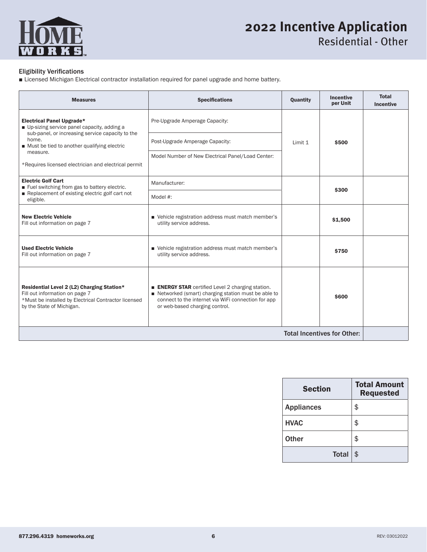

### Eligibility Verifications

■ Licensed Michigan Electrical contractor installation required for panel upgrade and home battery.

| <b>Measures</b>                                                                                                                                                   | <b>Specifications</b>                                                                                                                                                                                 | Quantity | <b>Incentive</b><br>per Unit | <b>Total</b><br><b>Incentive</b> |
|-------------------------------------------------------------------------------------------------------------------------------------------------------------------|-------------------------------------------------------------------------------------------------------------------------------------------------------------------------------------------------------|----------|------------------------------|----------------------------------|
| <b>Electrical Panel Upgrade*</b><br>Up-sizing service panel capacity, adding a                                                                                    | Pre-Upgrade Amperage Capacity:                                                                                                                                                                        |          |                              |                                  |
| sub-panel, or increasing service capacity to the<br>home.<br>■ Must be tied to another qualifying electric                                                        | Post-Upgrade Amperage Capacity:                                                                                                                                                                       | Limit 1  | \$500                        |                                  |
| measure.<br>*Requires licensed electrician and electrical permit                                                                                                  | Model Number of New Electrical Panel/Load Center:                                                                                                                                                     |          |                              |                                  |
| <b>Electric Golf Cart</b><br>Fuel switching from gas to battery electric.                                                                                         | Manufacturer:                                                                                                                                                                                         |          | \$300                        |                                  |
| Replacement of existing electric golf cart not<br>eligible.                                                                                                       | Model #:                                                                                                                                                                                              |          |                              |                                  |
| <b>New Electric Vehicle</b><br>Fill out information on page 7                                                                                                     | ■ Vehicle registration address must match member's<br>utility service address.                                                                                                                        |          | \$1,500                      |                                  |
| <b>Used Electric Vehicle</b><br>Fill out information on page 7                                                                                                    | ■ Vehicle registration address must match member's<br>utility service address.                                                                                                                        |          | \$750                        |                                  |
| Residential Level 2 (L2) Charging Station*<br>Fill out information on page 7<br>*Must be installed by Electrical Contractor licensed<br>by the State of Michigan. | <b>ENERGY STAR</b> certified Level 2 charging station.<br>Networked (smart) charging station must be able to<br>connect to the internet via WiFi connection for app<br>or web-based charging control. |          | \$600                        |                                  |
| <b>Total Incentives for Other:</b>                                                                                                                                |                                                                                                                                                                                                       |          |                              |                                  |

| <b>Section</b>    | <b>Total Amount</b><br><b>Requested</b> |
|-------------------|-----------------------------------------|
| <b>Appliances</b> | \$                                      |
| <b>HVAC</b>       | \$                                      |
| <b>Other</b>      | \$                                      |
| <b>Total</b>      | \$                                      |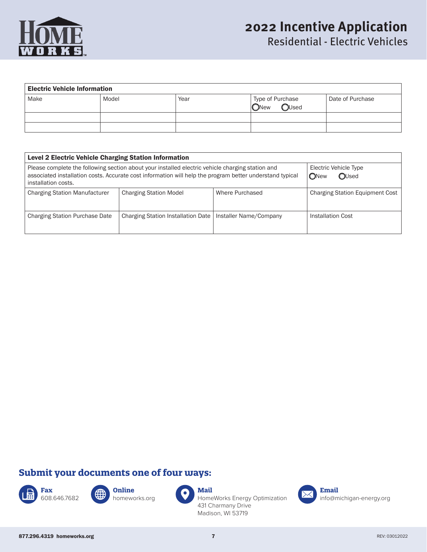

| <b>Electric Vehicle Information</b> |       |      |                                |                  |  |  |
|-------------------------------------|-------|------|--------------------------------|------------------|--|--|
| Make                                | Model | Year | Type of Purchase<br>Thew CUsed | Date of Purchase |  |  |
|                                     |       |      |                                |                  |  |  |
|                                     |       |      |                                |                  |  |  |

| <b>Level 2 Electric Vehicle Charging Station Information</b>                                                                                                                                                                        |                                        |                        |                                        |  |  |  |
|-------------------------------------------------------------------------------------------------------------------------------------------------------------------------------------------------------------------------------------|----------------------------------------|------------------------|----------------------------------------|--|--|--|
| Please complete the following section about your installed electric vehicle charging station and<br>associated installation costs. Accurate cost information will help the program better understand typical<br>installation costs. | Electric Vehicle Type<br>OUsed<br>ONew |                        |                                        |  |  |  |
| <b>Charging Station Manufacturer</b>                                                                                                                                                                                                | <b>Charging Station Model</b>          | Where Purchased        | <b>Charging Station Equipment Cost</b> |  |  |  |
| <b>Charging Station Purchase Date</b>                                                                                                                                                                                               | Charging Station Installation Date     | Installer Name/Company | Installation Cost                      |  |  |  |

## **Submit your documents one of four ways:**



**Online** homeworks.org



**Mail** HomeWorks Energy Optimization 431 Charmany Drive Madison, WI 53719



info@michigan-energy.org